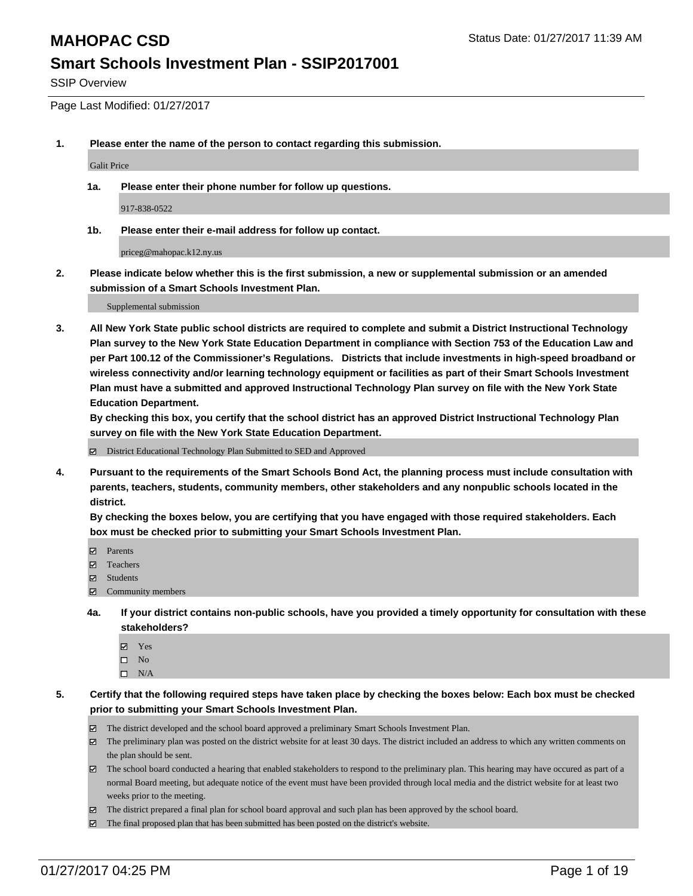SSIP Overview

Page Last Modified: 01/27/2017

**1. Please enter the name of the person to contact regarding this submission.**

Galit Price

**1a. Please enter their phone number for follow up questions.**

917-838-0522

**1b. Please enter their e-mail address for follow up contact.**

priceg@mahopac.k12.ny.us

**2. Please indicate below whether this is the first submission, a new or supplemental submission or an amended submission of a Smart Schools Investment Plan.**

Supplemental submission

**3. All New York State public school districts are required to complete and submit a District Instructional Technology Plan survey to the New York State Education Department in compliance with Section 753 of the Education Law and per Part 100.12 of the Commissioner's Regulations. Districts that include investments in high-speed broadband or wireless connectivity and/or learning technology equipment or facilities as part of their Smart Schools Investment Plan must have a submitted and approved Instructional Technology Plan survey on file with the New York State Education Department.** 

**By checking this box, you certify that the school district has an approved District Instructional Technology Plan survey on file with the New York State Education Department.**

District Educational Technology Plan Submitted to SED and Approved

**4. Pursuant to the requirements of the Smart Schools Bond Act, the planning process must include consultation with parents, teachers, students, community members, other stakeholders and any nonpublic schools located in the district.** 

**By checking the boxes below, you are certifying that you have engaged with those required stakeholders. Each box must be checked prior to submitting your Smart Schools Investment Plan.**

- **Parents**
- Teachers
- **冈** Students
- Community members
- **4a. If your district contains non-public schools, have you provided a timely opportunity for consultation with these stakeholders?**
	- Yes
	- $\square$  No
	- $\square$  N/A
- **5. Certify that the following required steps have taken place by checking the boxes below: Each box must be checked prior to submitting your Smart Schools Investment Plan.**
	- The district developed and the school board approved a preliminary Smart Schools Investment Plan.
	- The preliminary plan was posted on the district website for at least 30 days. The district included an address to which any written comments on the plan should be sent.
	- The school board conducted a hearing that enabled stakeholders to respond to the preliminary plan. This hearing may have occured as part of a normal Board meeting, but adequate notice of the event must have been provided through local media and the district website for at least two weeks prior to the meeting.
	- The district prepared a final plan for school board approval and such plan has been approved by the school board.
	- $\boxtimes$  The final proposed plan that has been submitted has been posted on the district's website.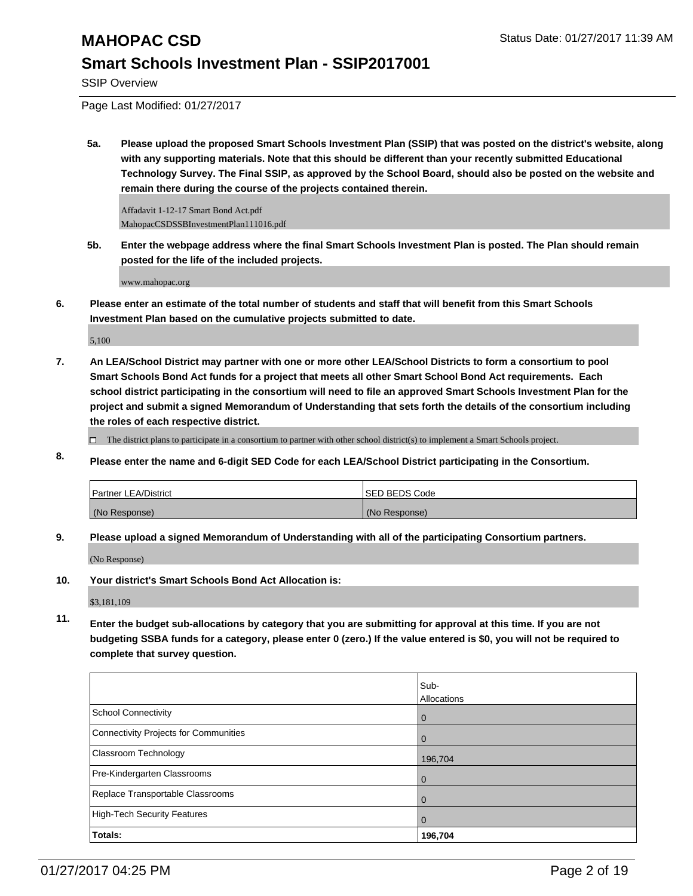SSIP Overview

Page Last Modified: 01/27/2017

**5a. Please upload the proposed Smart Schools Investment Plan (SSIP) that was posted on the district's website, along with any supporting materials. Note that this should be different than your recently submitted Educational Technology Survey. The Final SSIP, as approved by the School Board, should also be posted on the website and remain there during the course of the projects contained therein.**

Affadavit 1-12-17 Smart Bond Act.pdf MahopacCSDSSBInvestmentPlan111016.pdf

**5b. Enter the webpage address where the final Smart Schools Investment Plan is posted. The Plan should remain posted for the life of the included projects.**

www.mahopac.org

**6. Please enter an estimate of the total number of students and staff that will benefit from this Smart Schools Investment Plan based on the cumulative projects submitted to date.**

5,100

**7. An LEA/School District may partner with one or more other LEA/School Districts to form a consortium to pool Smart Schools Bond Act funds for a project that meets all other Smart School Bond Act requirements. Each school district participating in the consortium will need to file an approved Smart Schools Investment Plan for the project and submit a signed Memorandum of Understanding that sets forth the details of the consortium including the roles of each respective district.**

 $\Box$  The district plans to participate in a consortium to partner with other school district(s) to implement a Smart Schools project.

**8. Please enter the name and 6-digit SED Code for each LEA/School District participating in the Consortium.**

| Partner LEA/District | <b>ISED BEDS Code</b> |
|----------------------|-----------------------|
| (No Response)        | (No Response)         |

**9. Please upload a signed Memorandum of Understanding with all of the participating Consortium partners.**

(No Response)

**10. Your district's Smart Schools Bond Act Allocation is:**

\$3,181,109

**11. Enter the budget sub-allocations by category that you are submitting for approval at this time. If you are not budgeting SSBA funds for a category, please enter 0 (zero.) If the value entered is \$0, you will not be required to complete that survey question.**

|                                       | Sub-<br>Allocations |
|---------------------------------------|---------------------|
| School Connectivity                   | $\mathbf 0$         |
| Connectivity Projects for Communities | $\Omega$            |
| <b>Classroom Technology</b>           | 196,704             |
| Pre-Kindergarten Classrooms           | $\Omega$            |
| Replace Transportable Classrooms      | $\Omega$            |
| High-Tech Security Features           | $\Omega$            |
| Totals:                               | 196,704             |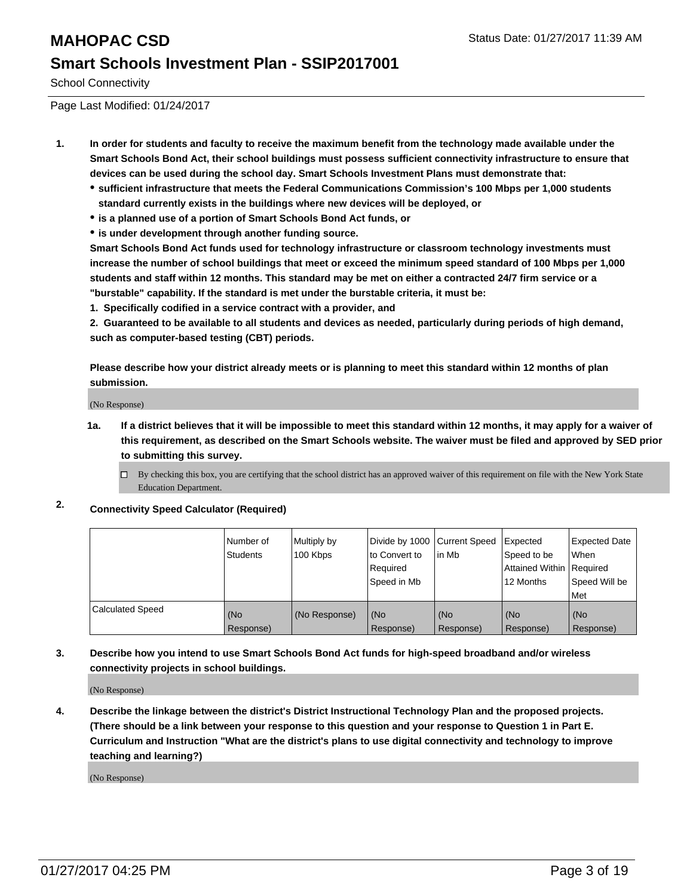School Connectivity

Page Last Modified: 01/24/2017

- **1. In order for students and faculty to receive the maximum benefit from the technology made available under the Smart Schools Bond Act, their school buildings must possess sufficient connectivity infrastructure to ensure that devices can be used during the school day. Smart Schools Investment Plans must demonstrate that:**
	- **sufficient infrastructure that meets the Federal Communications Commission's 100 Mbps per 1,000 students standard currently exists in the buildings where new devices will be deployed, or**
	- **is a planned use of a portion of Smart Schools Bond Act funds, or**
	- **is under development through another funding source.**

**Smart Schools Bond Act funds used for technology infrastructure or classroom technology investments must increase the number of school buildings that meet or exceed the minimum speed standard of 100 Mbps per 1,000 students and staff within 12 months. This standard may be met on either a contracted 24/7 firm service or a "burstable" capability. If the standard is met under the burstable criteria, it must be:**

**1. Specifically codified in a service contract with a provider, and**

**2. Guaranteed to be available to all students and devices as needed, particularly during periods of high demand, such as computer-based testing (CBT) periods.**

**Please describe how your district already meets or is planning to meet this standard within 12 months of plan submission.**

(No Response)

**1a. If a district believes that it will be impossible to meet this standard within 12 months, it may apply for a waiver of this requirement, as described on the Smart Schools website. The waiver must be filed and approved by SED prior to submitting this survey.**

 $\Box$ By checking this box, you are certifying that the school district has an approved waiver of this requirement on file with the New York State Education Department.

**2. Connectivity Speed Calculator (Required)**

|                         | l Number of<br>Students | Multiply by<br>100 Kbps | Divide by 1000   Current Speed<br>to Convert to<br>Reauired<br>Speed in Mb | in Mb            | Expected<br>Speed to be<br>Attained Within   Required<br>12 Months | <b>Expected Date</b><br>l When<br>Speed Will be<br>Met |
|-------------------------|-------------------------|-------------------------|----------------------------------------------------------------------------|------------------|--------------------------------------------------------------------|--------------------------------------------------------|
| <b>Calculated Speed</b> | (No<br>Response)        | (No Response)           | (No<br>Response)                                                           | (No<br>Response) | (No<br>Response)                                                   | l (No<br>Response)                                     |

**3. Describe how you intend to use Smart Schools Bond Act funds for high-speed broadband and/or wireless connectivity projects in school buildings.**

(No Response)

**4. Describe the linkage between the district's District Instructional Technology Plan and the proposed projects. (There should be a link between your response to this question and your response to Question 1 in Part E. Curriculum and Instruction "What are the district's plans to use digital connectivity and technology to improve teaching and learning?)**

(No Response)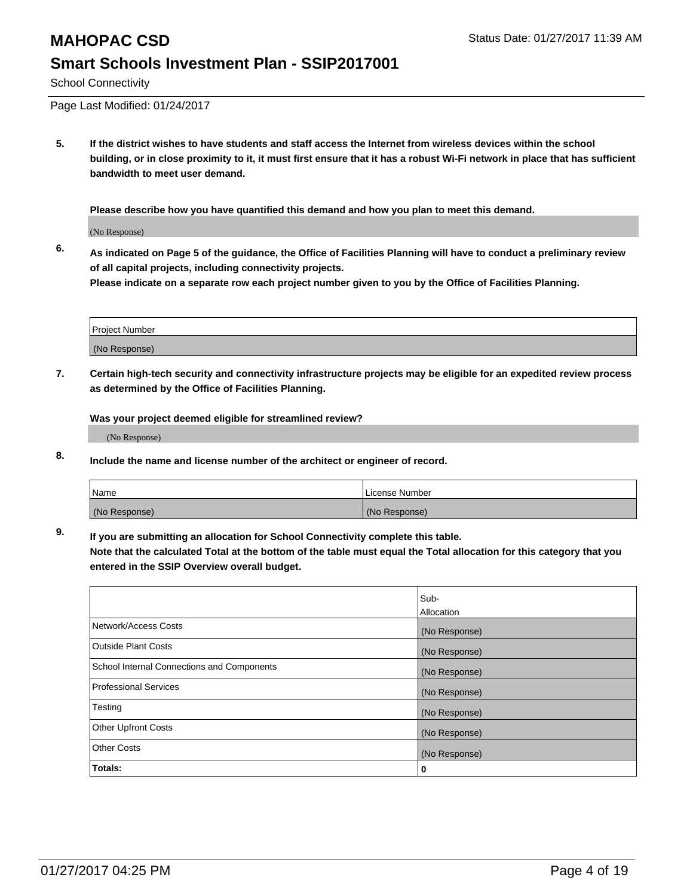## **MAHOPAC CSD** Status Date: 01/27/2017 11:39 AM **Smart Schools Investment Plan - SSIP2017001**

School Connectivity

Page Last Modified: 01/24/2017

**5. If the district wishes to have students and staff access the Internet from wireless devices within the school building, or in close proximity to it, it must first ensure that it has a robust Wi-Fi network in place that has sufficient bandwidth to meet user demand.**

**Please describe how you have quantified this demand and how you plan to meet this demand.**

(No Response)

**6. As indicated on Page 5 of the guidance, the Office of Facilities Planning will have to conduct a preliminary review of all capital projects, including connectivity projects.**

**Please indicate on a separate row each project number given to you by the Office of Facilities Planning.**

| Project Number |  |
|----------------|--|
|                |  |
| (No Response)  |  |

**7. Certain high-tech security and connectivity infrastructure projects may be eligible for an expedited review process as determined by the Office of Facilities Planning.**

**Was your project deemed eligible for streamlined review?**

(No Response)

**8. Include the name and license number of the architect or engineer of record.**

| <b>Name</b>   | License Number |
|---------------|----------------|
| (No Response) | (No Response)  |

**9. If you are submitting an allocation for School Connectivity complete this table.**

**Note that the calculated Total at the bottom of the table must equal the Total allocation for this category that you entered in the SSIP Overview overall budget.** 

|                                            | Sub-          |
|--------------------------------------------|---------------|
|                                            | Allocation    |
| Network/Access Costs                       | (No Response) |
| <b>Outside Plant Costs</b>                 | (No Response) |
| School Internal Connections and Components | (No Response) |
| <b>Professional Services</b>               | (No Response) |
| Testing                                    | (No Response) |
| <b>Other Upfront Costs</b>                 | (No Response) |
| <b>Other Costs</b>                         | (No Response) |
| Totals:                                    | 0             |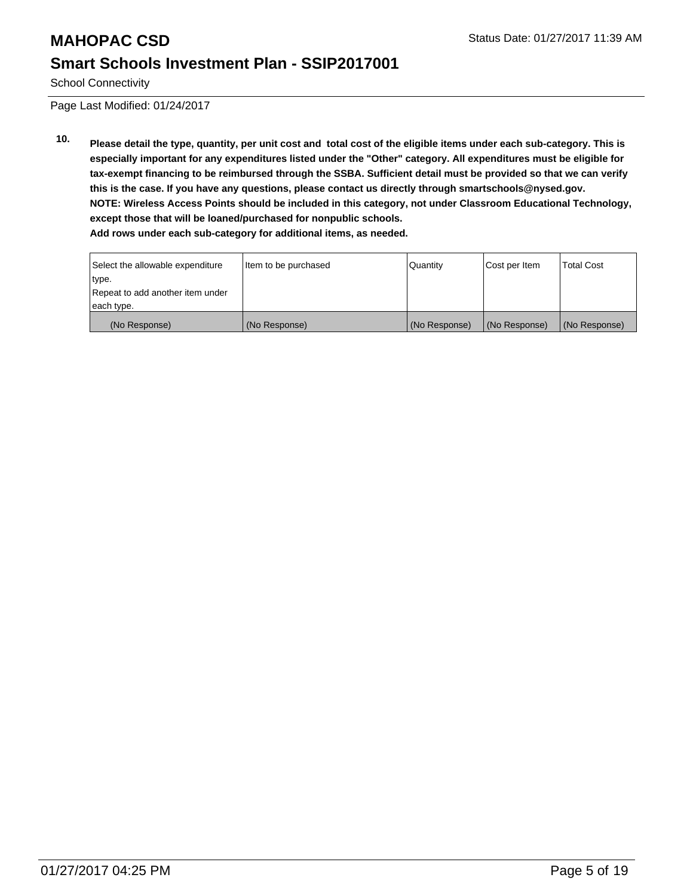School Connectivity

Page Last Modified: 01/24/2017

**10. Please detail the type, quantity, per unit cost and total cost of the eligible items under each sub-category. This is especially important for any expenditures listed under the "Other" category. All expenditures must be eligible for tax-exempt financing to be reimbursed through the SSBA. Sufficient detail must be provided so that we can verify this is the case. If you have any questions, please contact us directly through smartschools@nysed.gov. NOTE: Wireless Access Points should be included in this category, not under Classroom Educational Technology, except those that will be loaned/purchased for nonpublic schools. Add rows under each sub-category for additional items, as needed.**

| Select the allowable expenditure | Item to be purchased | <b>Quantity</b> | Cost per Item | <b>Total Cost</b> |
|----------------------------------|----------------------|-----------------|---------------|-------------------|
| type.                            |                      |                 |               |                   |
| Repeat to add another item under |                      |                 |               |                   |
| each type.                       |                      |                 |               |                   |
| (No Response)                    | (No Response)        | (No Response)   | (No Response) | (No Response)     |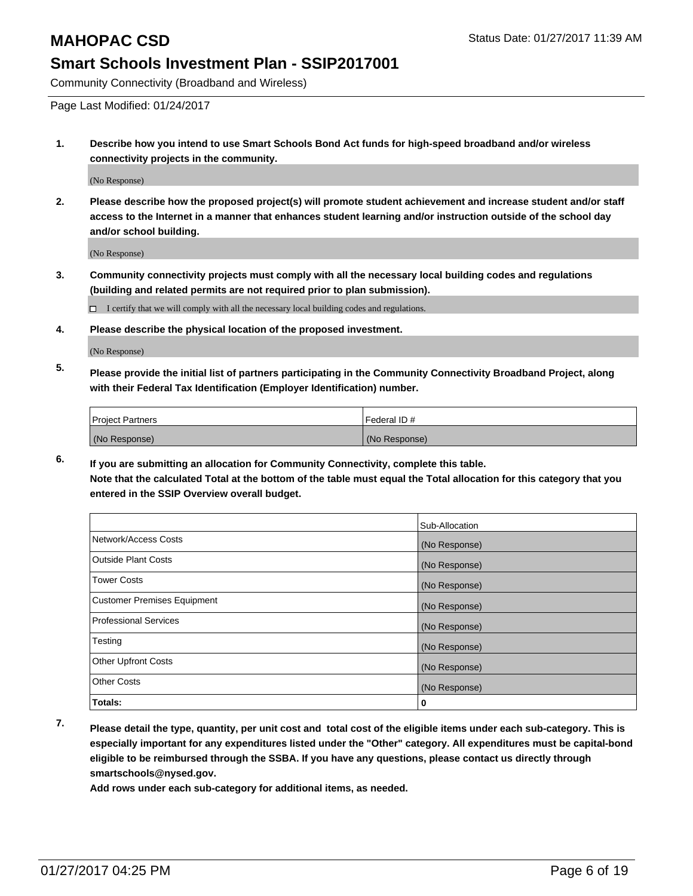Community Connectivity (Broadband and Wireless)

Page Last Modified: 01/24/2017

**1. Describe how you intend to use Smart Schools Bond Act funds for high-speed broadband and/or wireless connectivity projects in the community.**

(No Response)

**2. Please describe how the proposed project(s) will promote student achievement and increase student and/or staff access to the Internet in a manner that enhances student learning and/or instruction outside of the school day and/or school building.**

(No Response)

**3. Community connectivity projects must comply with all the necessary local building codes and regulations (building and related permits are not required prior to plan submission).**

 $\Box$  I certify that we will comply with all the necessary local building codes and regulations.

**4. Please describe the physical location of the proposed investment.**

(No Response)

**5. Please provide the initial list of partners participating in the Community Connectivity Broadband Project, along with their Federal Tax Identification (Employer Identification) number.**

| <b>Project Partners</b> | l Federal ID # |
|-------------------------|----------------|
| (No Response)           | (No Response)  |

**6. If you are submitting an allocation for Community Connectivity, complete this table. Note that the calculated Total at the bottom of the table must equal the Total allocation for this category that you entered in the SSIP Overview overall budget.**

|                                    | Sub-Allocation |
|------------------------------------|----------------|
| Network/Access Costs               | (No Response)  |
| <b>Outside Plant Costs</b>         | (No Response)  |
| <b>Tower Costs</b>                 | (No Response)  |
| <b>Customer Premises Equipment</b> | (No Response)  |
| <b>Professional Services</b>       | (No Response)  |
| Testing                            | (No Response)  |
| <b>Other Upfront Costs</b>         | (No Response)  |
| <b>Other Costs</b>                 | (No Response)  |
| Totals:                            | 0              |

**7. Please detail the type, quantity, per unit cost and total cost of the eligible items under each sub-category. This is especially important for any expenditures listed under the "Other" category. All expenditures must be capital-bond eligible to be reimbursed through the SSBA. If you have any questions, please contact us directly through smartschools@nysed.gov.**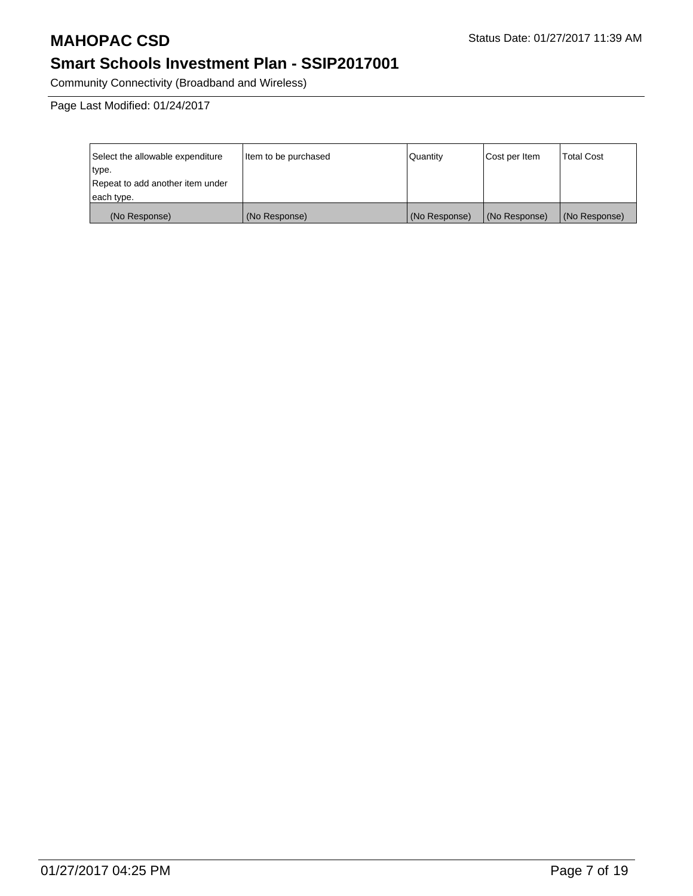Community Connectivity (Broadband and Wireless)

Page Last Modified: 01/24/2017

| Select the allowable expenditure | Item to be purchased | Quantity      | Cost per Item | <b>Total Cost</b> |
|----------------------------------|----------------------|---------------|---------------|-------------------|
| type.                            |                      |               |               |                   |
| Repeat to add another item under |                      |               |               |                   |
| each type.                       |                      |               |               |                   |
| (No Response)                    | (No Response)        | (No Response) | (No Response) | (No Response)     |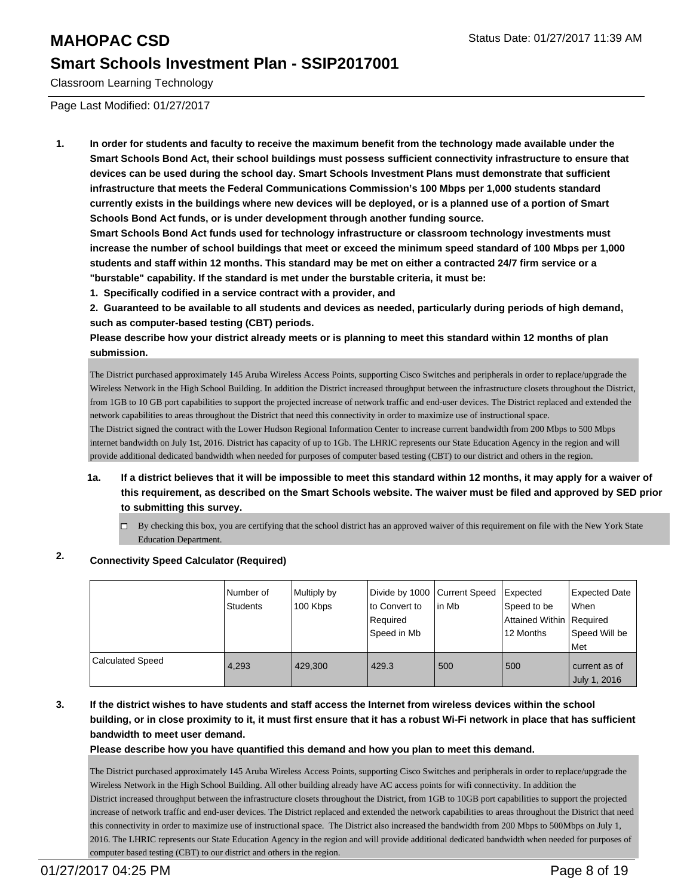Classroom Learning Technology

Page Last Modified: 01/27/2017

**1. In order for students and faculty to receive the maximum benefit from the technology made available under the Smart Schools Bond Act, their school buildings must possess sufficient connectivity infrastructure to ensure that devices can be used during the school day. Smart Schools Investment Plans must demonstrate that sufficient infrastructure that meets the Federal Communications Commission's 100 Mbps per 1,000 students standard currently exists in the buildings where new devices will be deployed, or is a planned use of a portion of Smart Schools Bond Act funds, or is under development through another funding source.**

**Smart Schools Bond Act funds used for technology infrastructure or classroom technology investments must increase the number of school buildings that meet or exceed the minimum speed standard of 100 Mbps per 1,000 students and staff within 12 months. This standard may be met on either a contracted 24/7 firm service or a "burstable" capability. If the standard is met under the burstable criteria, it must be:**

**1. Specifically codified in a service contract with a provider, and**

**2. Guaranteed to be available to all students and devices as needed, particularly during periods of high demand, such as computer-based testing (CBT) periods.**

**Please describe how your district already meets or is planning to meet this standard within 12 months of plan submission.**

The District purchased approximately 145 Aruba Wireless Access Points, supporting Cisco Switches and peripherals in order to replace/upgrade the Wireless Network in the High School Building. In addition the District increased throughput between the infrastructure closets throughout the District, from 1GB to 10 GB port capabilities to support the projected increase of network traffic and end-user devices. The District replaced and extended the network capabilities to areas throughout the District that need this connectivity in order to maximize use of instructional space. The District signed the contract with the Lower Hudson Regional Information Center to increase current bandwidth from 200 Mbps to 500 Mbps

internet bandwidth on July 1st, 2016. District has capacity of up to 1Gb. The LHRIC represents our State Education Agency in the region and will provide additional dedicated bandwidth when needed for purposes of computer based testing (CBT) to our district and others in the region.

- **1a. If a district believes that it will be impossible to meet this standard within 12 months, it may apply for a waiver of this requirement, as described on the Smart Schools website. The waiver must be filed and approved by SED prior to submitting this survey.**
	- $\Box$  By checking this box, you are certifying that the school district has an approved waiver of this requirement on file with the New York State Education Department.

## **2. Connectivity Speed Calculator (Required)**

|                  | I Number of<br>Students | Multiply by<br>100 Kbps | Divide by 1000 Current Speed<br>Ito Convert to<br>Required<br>Speed in Mb | in Mb | Expected<br>Speed to be<br>Attained Within   Required<br>12 Months | Expected Date<br><b>When</b><br>Speed Will be<br>Met |
|------------------|-------------------------|-------------------------|---------------------------------------------------------------------------|-------|--------------------------------------------------------------------|------------------------------------------------------|
| Calculated Speed | 4.293                   | 429,300                 | 429.3                                                                     | 500   | 500                                                                | current as of<br><b>July 1, 2016</b>                 |

## **3. If the district wishes to have students and staff access the Internet from wireless devices within the school building, or in close proximity to it, it must first ensure that it has a robust Wi-Fi network in place that has sufficient bandwidth to meet user demand.**

## **Please describe how you have quantified this demand and how you plan to meet this demand.**

The District purchased approximately 145 Aruba Wireless Access Points, supporting Cisco Switches and peripherals in order to replace/upgrade the Wireless Network in the High School Building. All other building already have AC access points for wifi connectivity. In addition the District increased throughput between the infrastructure closets throughout the District, from 1GB to 10GB port capabilities to support the projected increase of network traffic and end-user devices. The District replaced and extended the network capabilities to areas throughout the District that need this connectivity in order to maximize use of instructional space. The District also increased the bandwidth from 200 Mbps to 500Mbps on July 1, 2016. The LHRIC represents our State Education Agency in the region and will provide additional dedicated bandwidth when needed for purposes of computer based testing (CBT) to our district and others in the region.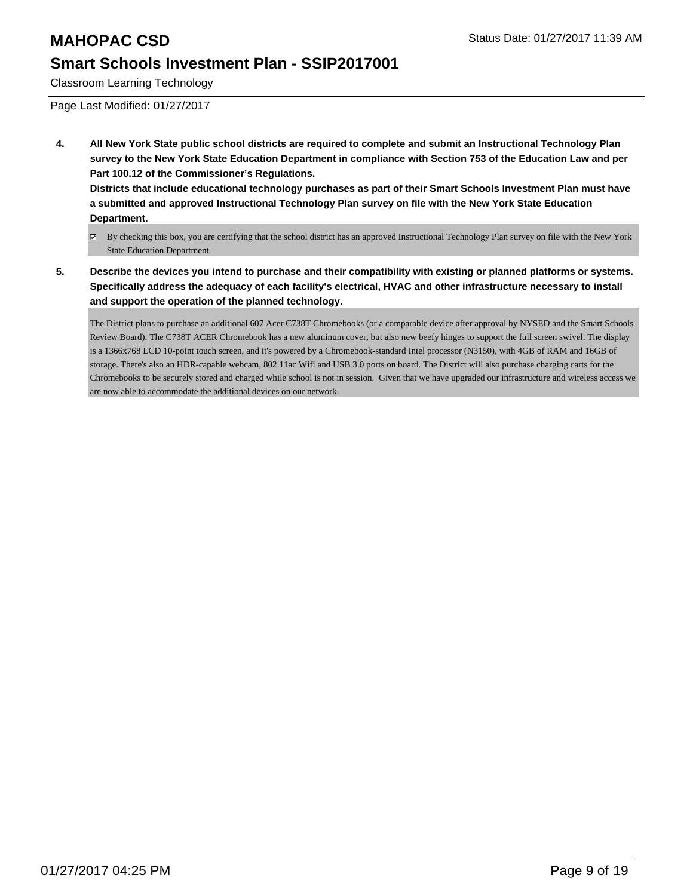Classroom Learning Technology

Page Last Modified: 01/27/2017

**4. All New York State public school districts are required to complete and submit an Instructional Technology Plan survey to the New York State Education Department in compliance with Section 753 of the Education Law and per Part 100.12 of the Commissioner's Regulations.**

**Districts that include educational technology purchases as part of their Smart Schools Investment Plan must have a submitted and approved Instructional Technology Plan survey on file with the New York State Education Department.**

- By checking this box, you are certifying that the school district has an approved Instructional Technology Plan survey on file with the New York State Education Department.
- **5. Describe the devices you intend to purchase and their compatibility with existing or planned platforms or systems. Specifically address the adequacy of each facility's electrical, HVAC and other infrastructure necessary to install and support the operation of the planned technology.**

The District plans to purchase an additional 607 Acer C738T Chromebooks (or a comparable device after approval by NYSED and the Smart Schools Review Board). The C738T ACER Chromebook has a new aluminum cover, but also new beefy hinges to support the full screen swivel. The display is a 1366x768 LCD 10-point touch screen, and it's powered by a Chromebook-standard Intel processor (N3150), with 4GB of RAM and 16GB of storage. There's also an HDR-capable webcam, 802.11ac Wifi and USB 3.0 ports on board. The District will also purchase charging carts for the Chromebooks to be securely stored and charged while school is not in session. Given that we have upgraded our infrastructure and wireless access we are now able to accommodate the additional devices on our network.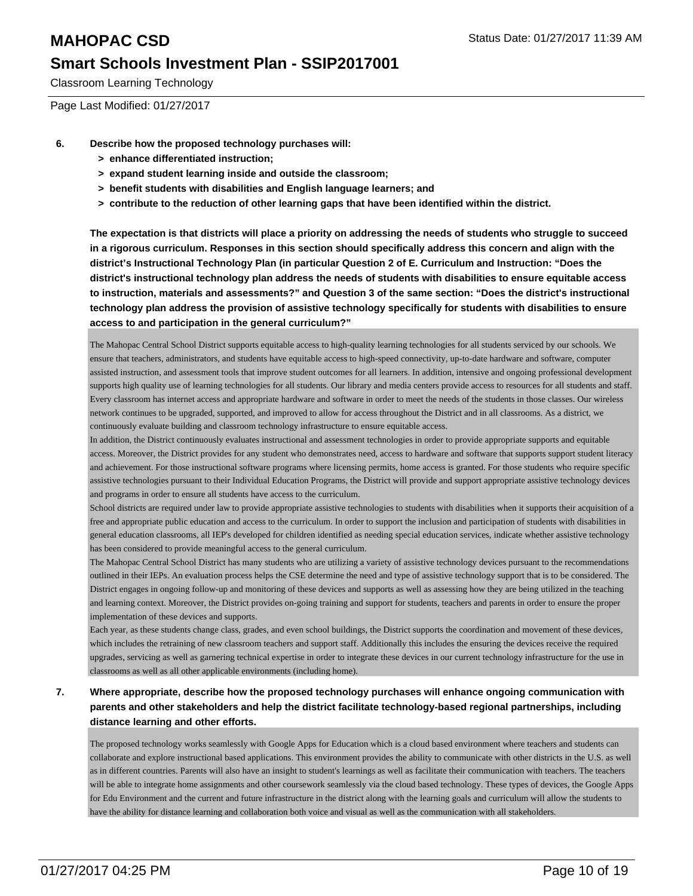Classroom Learning Technology

Page Last Modified: 01/27/2017

- **6. Describe how the proposed technology purchases will:**
	- **> enhance differentiated instruction;**
	- **> expand student learning inside and outside the classroom;**
	- **> benefit students with disabilities and English language learners; and**
	- **> contribute to the reduction of other learning gaps that have been identified within the district.**

**The expectation is that districts will place a priority on addressing the needs of students who struggle to succeed in a rigorous curriculum. Responses in this section should specifically address this concern and align with the district's Instructional Technology Plan (in particular Question 2 of E. Curriculum and Instruction: "Does the district's instructional technology plan address the needs of students with disabilities to ensure equitable access to instruction, materials and assessments?" and Question 3 of the same section: "Does the district's instructional technology plan address the provision of assistive technology specifically for students with disabilities to ensure access to and participation in the general curriculum?"**

The Mahopac Central School District supports equitable access to high-quality learning technologies for all students serviced by our schools. We ensure that teachers, administrators, and students have equitable access to high-speed connectivity, up-to-date hardware and software, computer assisted instruction, and assessment tools that improve student outcomes for all learners. In addition, intensive and ongoing professional development supports high quality use of learning technologies for all students. Our library and media centers provide access to resources for all students and staff. Every classroom has internet access and appropriate hardware and software in order to meet the needs of the students in those classes. Our wireless network continues to be upgraded, supported, and improved to allow for access throughout the District and in all classrooms. As a district, we continuously evaluate building and classroom technology infrastructure to ensure equitable access.

In addition, the District continuously evaluates instructional and assessment technologies in order to provide appropriate supports and equitable access. Moreover, the District provides for any student who demonstrates need, access to hardware and software that supports support student literacy and achievement. For those instructional software programs where licensing permits, home access is granted. For those students who require specific assistive technologies pursuant to their Individual Education Programs, the District will provide and support appropriate assistive technology devices and programs in order to ensure all students have access to the curriculum.

School districts are required under law to provide appropriate assistive technologies to students with disabilities when it supports their acquisition of a free and appropriate public education and access to the curriculum. In order to support the inclusion and participation of students with disabilities in general education classrooms, all IEP's developed for children identified as needing special education services, indicate whether assistive technology has been considered to provide meaningful access to the general curriculum.

The Mahopac Central School District has many students who are utilizing a variety of assistive technology devices pursuant to the recommendations outlined in their IEPs. An evaluation process helps the CSE determine the need and type of assistive technology support that is to be considered. The District engages in ongoing follow-up and monitoring of these devices and supports as well as assessing how they are being utilized in the teaching and learning context. Moreover, the District provides on-going training and support for students, teachers and parents in order to ensure the proper implementation of these devices and supports.

Each year, as these students change class, grades, and even school buildings, the District supports the coordination and movement of these devices, which includes the retraining of new classroom teachers and support staff. Additionally this includes the ensuring the devices receive the required upgrades, servicing as well as garnering technical expertise in order to integrate these devices in our current technology infrastructure for the use in classrooms as well as all other applicable environments (including home).

## **7. Where appropriate, describe how the proposed technology purchases will enhance ongoing communication with parents and other stakeholders and help the district facilitate technology-based regional partnerships, including distance learning and other efforts.**

The proposed technology works seamlessly with Google Apps for Education which is a cloud based environment where teachers and students can collaborate and explore instructional based applications. This environment provides the ability to communicate with other districts in the U.S. as well as in different countries. Parents will also have an insight to student's learnings as well as facilitate their communication with teachers. The teachers will be able to integrate home assignments and other coursework seamlessly via the cloud based technology. These types of devices, the Google Apps for Edu Environment and the current and future infrastructure in the district along with the learning goals and curriculum will allow the students to have the ability for distance learning and collaboration both voice and visual as well as the communication with all stakeholders.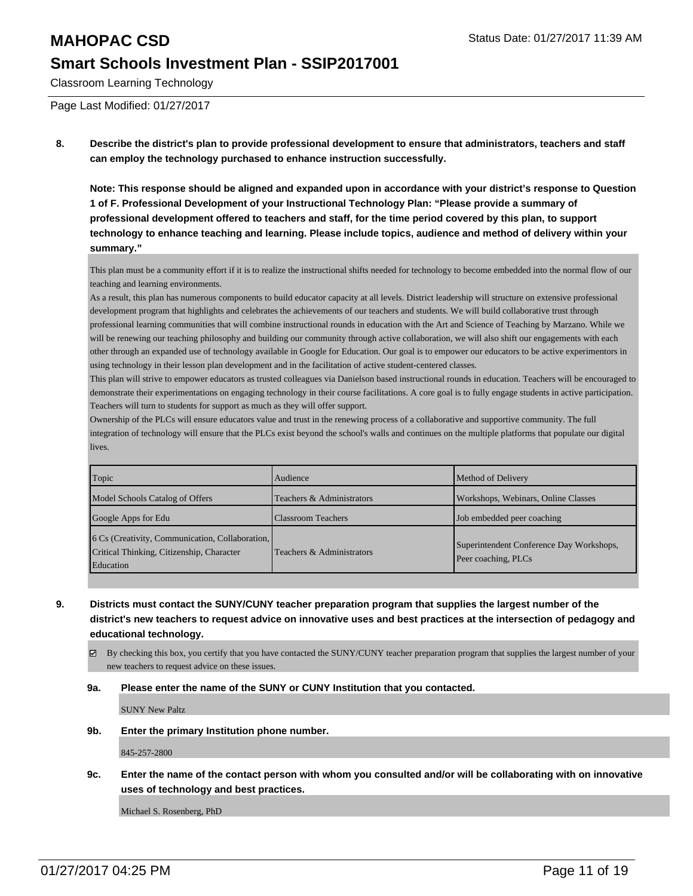Classroom Learning Technology

Page Last Modified: 01/27/2017

**8. Describe the district's plan to provide professional development to ensure that administrators, teachers and staff can employ the technology purchased to enhance instruction successfully.**

**Note: This response should be aligned and expanded upon in accordance with your district's response to Question 1 of F. Professional Development of your Instructional Technology Plan: "Please provide a summary of professional development offered to teachers and staff, for the time period covered by this plan, to support technology to enhance teaching and learning. Please include topics, audience and method of delivery within your summary."**

This plan must be a community effort if it is to realize the instructional shifts needed for technology to become embedded into the normal flow of our teaching and learning environments.

As a result, this plan has numerous components to build educator capacity at all levels. District leadership will structure on extensive professional development program that highlights and celebrates the achievements of our teachers and students. We will build collaborative trust through professional learning communities that will combine instructional rounds in education with the Art and Science of Teaching by Marzano. While we will be renewing our teaching philosophy and building our community through active collaboration, we will also shift our engagements with each other through an expanded use of technology available in Google for Education. Our goal is to empower our educators to be active experimentors in using technology in their lesson plan development and in the facilitation of active student-centered classes.

This plan will strive to empower educators as trusted colleagues via Danielson based instructional rounds in education. Teachers will be encouraged to demonstrate their experimentations on engaging technology in their course facilitations. A core goal is to fully engage students in active participation. Teachers will turn to students for support as much as they will offer support.

Ownership of the PLCs will ensure educators value and trust in the renewing process of a collaborative and supportive community. The full integration of technology will ensure that the PLCs exist beyond the school's walls and continues on the multiple platforms that populate our digital lives.

| Topic                                                                                                            | Audience                  | Method of Delivery                                              |
|------------------------------------------------------------------------------------------------------------------|---------------------------|-----------------------------------------------------------------|
| Model Schools Catalog of Offers                                                                                  | Teachers & Administrators | Workshops, Webinars, Online Classes                             |
| Google Apps for Edu                                                                                              | <b>Classroom Teachers</b> | Job embedded peer coaching                                      |
| 6 Cs (Creativity, Communication, Collaboration,<br>Critical Thinking, Citizenship, Character<br><b>Education</b> | Teachers & Administrators | Superintendent Conference Day Workshops,<br>Peer coaching, PLCs |

- **9. Districts must contact the SUNY/CUNY teacher preparation program that supplies the largest number of the district's new teachers to request advice on innovative uses and best practices at the intersection of pedagogy and educational technology.**
	- By checking this box, you certify that you have contacted the SUNY/CUNY teacher preparation program that supplies the largest number of your new teachers to request advice on these issues.

## **9a. Please enter the name of the SUNY or CUNY Institution that you contacted.**

SUNY New Paltz

**9b. Enter the primary Institution phone number.**

845-257-2800

**9c. Enter the name of the contact person with whom you consulted and/or will be collaborating with on innovative uses of technology and best practices.**

Michael S. Rosenberg, PhD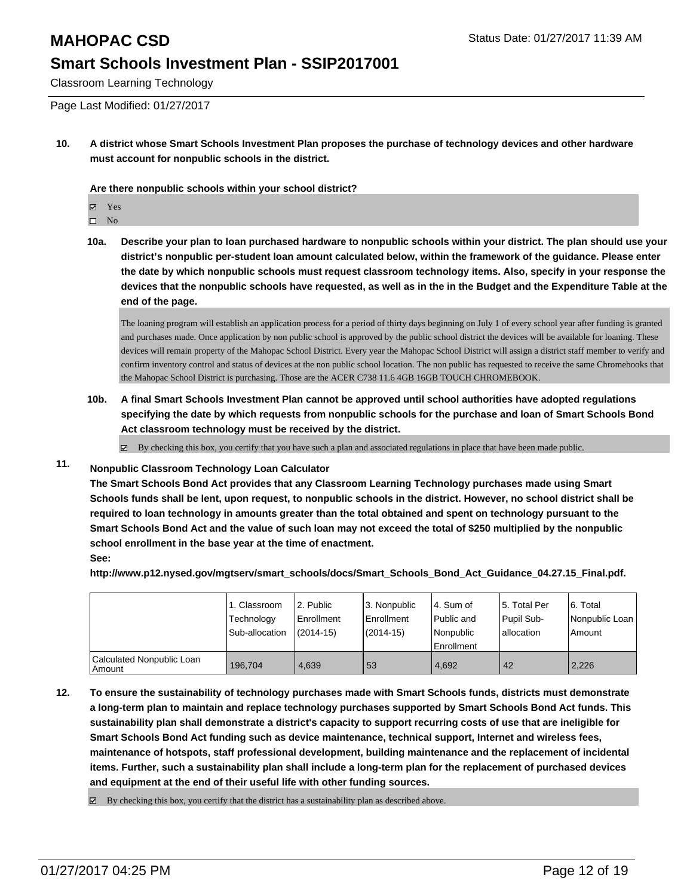Classroom Learning Technology

Page Last Modified: 01/27/2017

**10. A district whose Smart Schools Investment Plan proposes the purchase of technology devices and other hardware must account for nonpublic schools in the district.**

**Are there nonpublic schools within your school district?**

Yes

 $\hfill \square$  No

**10a. Describe your plan to loan purchased hardware to nonpublic schools within your district. The plan should use your district's nonpublic per-student loan amount calculated below, within the framework of the guidance. Please enter the date by which nonpublic schools must request classroom technology items. Also, specify in your response the devices that the nonpublic schools have requested, as well as in the in the Budget and the Expenditure Table at the end of the page.**

The loaning program will establish an application process for a period of thirty days beginning on July 1 of every school year after funding is granted and purchases made. Once application by non public school is approved by the public school district the devices will be available for loaning. These devices will remain property of the Mahopac School District. Every year the Mahopac School District will assign a district staff member to verify and confirm inventory control and status of devices at the non public school location. The non public has requested to receive the same Chromebooks that the Mahopac School District is purchasing. Those are the ACER C738 11.6 4GB 16GB TOUCH CHROMEBOOK.

**10b. A final Smart Schools Investment Plan cannot be approved until school authorities have adopted regulations specifying the date by which requests from nonpublic schools for the purchase and loan of Smart Schools Bond Act classroom technology must be received by the district.**

 $\boxtimes$  By checking this box, you certify that you have such a plan and associated regulations in place that have been made public.

## **11. Nonpublic Classroom Technology Loan Calculator**

**The Smart Schools Bond Act provides that any Classroom Learning Technology purchases made using Smart Schools funds shall be lent, upon request, to nonpublic schools in the district. However, no school district shall be required to loan technology in amounts greater than the total obtained and spent on technology pursuant to the Smart Schools Bond Act and the value of such loan may not exceed the total of \$250 multiplied by the nonpublic school enrollment in the base year at the time of enactment. See:**

**http://www.p12.nysed.gov/mgtserv/smart\_schools/docs/Smart\_Schools\_Bond\_Act\_Guidance\_04.27.15\_Final.pdf.**

|                                       | <sub>1</sub> . Classroom<br>Technology<br>Sub-allocation | 2. Public<br>Enrollment<br>$(2014 - 15)$ | 3. Nonpublic<br>l Enrollment<br>$(2014 - 15)$ | l 4. Sum of<br>l Public and<br>l Nonpublic<br>Enrollment | l 5. Total Per<br>Pupil Sub-<br>lallocation | 6. Total<br>Nonpublic Loan<br>l Amount |
|---------------------------------------|----------------------------------------------------------|------------------------------------------|-----------------------------------------------|----------------------------------------------------------|---------------------------------------------|----------------------------------------|
| Calculated Nonpublic Loan<br>  Amount | 196.704                                                  | 4.639                                    | 53                                            | 4.692                                                    | 42                                          | 2.226                                  |

**12. To ensure the sustainability of technology purchases made with Smart Schools funds, districts must demonstrate a long-term plan to maintain and replace technology purchases supported by Smart Schools Bond Act funds. This sustainability plan shall demonstrate a district's capacity to support recurring costs of use that are ineligible for Smart Schools Bond Act funding such as device maintenance, technical support, Internet and wireless fees, maintenance of hotspots, staff professional development, building maintenance and the replacement of incidental items. Further, such a sustainability plan shall include a long-term plan for the replacement of purchased devices and equipment at the end of their useful life with other funding sources.**

 $\boxtimes$  By checking this box, you certify that the district has a sustainability plan as described above.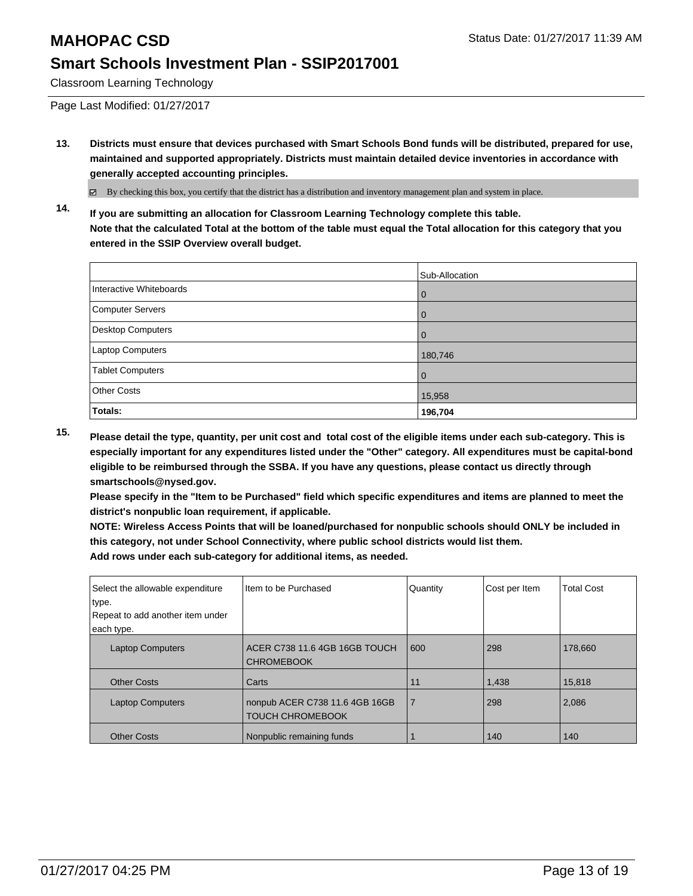Classroom Learning Technology

Page Last Modified: 01/27/2017

**13. Districts must ensure that devices purchased with Smart Schools Bond funds will be distributed, prepared for use, maintained and supported appropriately. Districts must maintain detailed device inventories in accordance with generally accepted accounting principles.**

By checking this box, you certify that the district has a distribution and inventory management plan and system in place.

**14. If you are submitting an allocation for Classroom Learning Technology complete this table. Note that the calculated Total at the bottom of the table must equal the Total allocation for this category that you entered in the SSIP Overview overall budget.**

|                          | Sub-Allocation |
|--------------------------|----------------|
| Interactive Whiteboards  | 0              |
| Computer Servers         | 0              |
| <b>Desktop Computers</b> | $\Omega$       |
| Laptop Computers         | 180,746        |
| <b>Tablet Computers</b>  | 0              |
| <b>Other Costs</b>       | 15,958         |
| Totals:                  | 196,704        |

**15. Please detail the type, quantity, per unit cost and total cost of the eligible items under each sub-category. This is especially important for any expenditures listed under the "Other" category. All expenditures must be capital-bond eligible to be reimbursed through the SSBA. If you have any questions, please contact us directly through smartschools@nysed.gov.**

**Please specify in the "Item to be Purchased" field which specific expenditures and items are planned to meet the district's nonpublic loan requirement, if applicable.**

**NOTE: Wireless Access Points that will be loaned/purchased for nonpublic schools should ONLY be included in this category, not under School Connectivity, where public school districts would list them. Add rows under each sub-category for additional items, as needed.**

| Select the allowable expenditure<br>type. | Item to be Purchased                                      | Quantity       | Cost per Item | <b>Total Cost</b> |
|-------------------------------------------|-----------------------------------------------------------|----------------|---------------|-------------------|
| Repeat to add another item under          |                                                           |                |               |                   |
| each type.                                |                                                           |                |               |                   |
| <b>Laptop Computers</b>                   | ACER C738 11.6 4GB 16GB TOUCH<br><b>CHROMEBOOK</b>        | 600            | 298           | 178,660           |
| <b>Other Costs</b>                        | Carts                                                     | 11             | 1,438         | 15,818            |
| <b>Laptop Computers</b>                   | nonpub ACER C738 11.6 4GB 16GB<br><b>TOUCH CHROMEBOOK</b> | $\overline{7}$ | 298           | 2,086             |
| <b>Other Costs</b>                        | Nonpublic remaining funds                                 |                | 140           | 140               |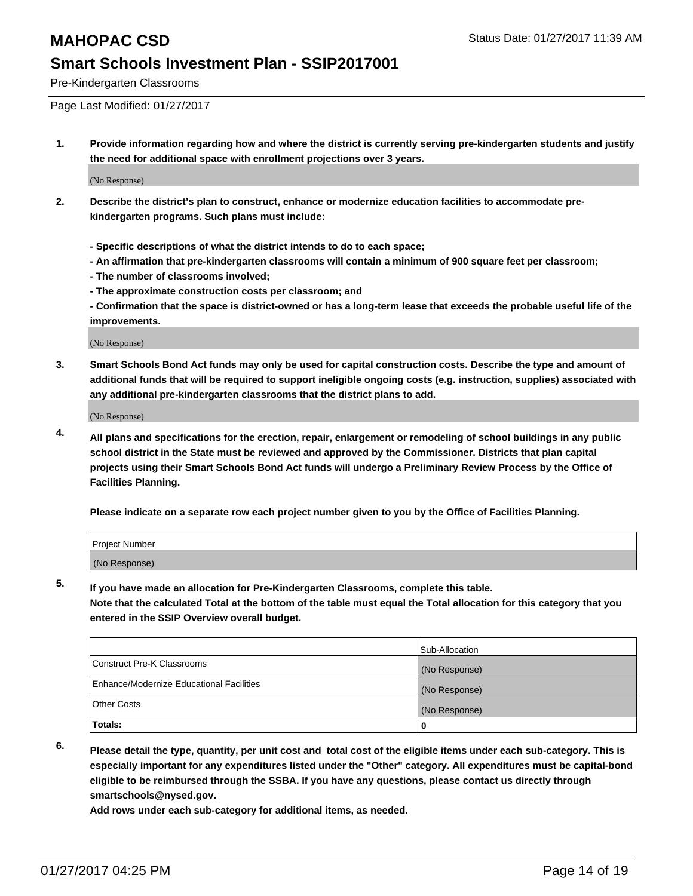Pre-Kindergarten Classrooms

Page Last Modified: 01/27/2017

**1. Provide information regarding how and where the district is currently serving pre-kindergarten students and justify the need for additional space with enrollment projections over 3 years.**

(No Response)

- **2. Describe the district's plan to construct, enhance or modernize education facilities to accommodate prekindergarten programs. Such plans must include:**
	- **Specific descriptions of what the district intends to do to each space;**
	- **An affirmation that pre-kindergarten classrooms will contain a minimum of 900 square feet per classroom;**
	- **The number of classrooms involved;**
	- **The approximate construction costs per classroom; and**
	- **Confirmation that the space is district-owned or has a long-term lease that exceeds the probable useful life of the improvements.**

(No Response)

**3. Smart Schools Bond Act funds may only be used for capital construction costs. Describe the type and amount of additional funds that will be required to support ineligible ongoing costs (e.g. instruction, supplies) associated with any additional pre-kindergarten classrooms that the district plans to add.**

(No Response)

**4. All plans and specifications for the erection, repair, enlargement or remodeling of school buildings in any public school district in the State must be reviewed and approved by the Commissioner. Districts that plan capital projects using their Smart Schools Bond Act funds will undergo a Preliminary Review Process by the Office of Facilities Planning.**

**Please indicate on a separate row each project number given to you by the Office of Facilities Planning.**

| Project Number |  |  |
|----------------|--|--|
| (No Response)  |  |  |

**5. If you have made an allocation for Pre-Kindergarten Classrooms, complete this table.**

**Note that the calculated Total at the bottom of the table must equal the Total allocation for this category that you entered in the SSIP Overview overall budget.**

|                                          | Sub-Allocation |
|------------------------------------------|----------------|
| Construct Pre-K Classrooms               | (No Response)  |
| Enhance/Modernize Educational Facilities | (No Response)  |
| Other Costs                              | (No Response)  |
| Totals:                                  |                |

**6. Please detail the type, quantity, per unit cost and total cost of the eligible items under each sub-category. This is especially important for any expenditures listed under the "Other" category. All expenditures must be capital-bond eligible to be reimbursed through the SSBA. If you have any questions, please contact us directly through smartschools@nysed.gov.**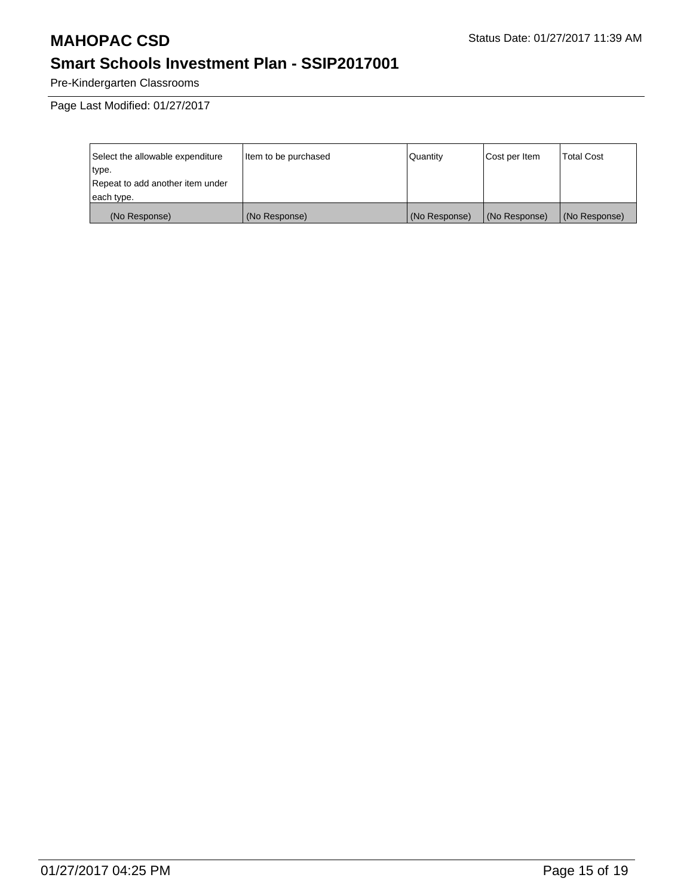Pre-Kindergarten Classrooms

Page Last Modified: 01/27/2017

| Select the allowable expenditure | Item to be purchased | Quantity      | Cost per Item | <b>Total Cost</b> |
|----------------------------------|----------------------|---------------|---------------|-------------------|
| type.                            |                      |               |               |                   |
| Repeat to add another item under |                      |               |               |                   |
| each type.                       |                      |               |               |                   |
| (No Response)                    | (No Response)        | (No Response) | (No Response) | (No Response)     |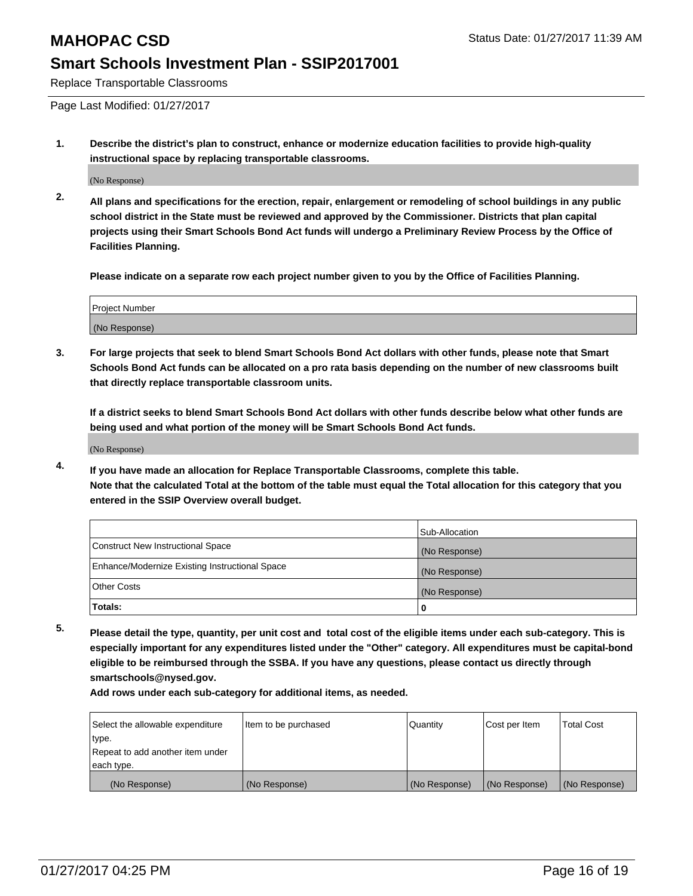Replace Transportable Classrooms

Page Last Modified: 01/27/2017

**1. Describe the district's plan to construct, enhance or modernize education facilities to provide high-quality instructional space by replacing transportable classrooms.**

(No Response)

**2. All plans and specifications for the erection, repair, enlargement or remodeling of school buildings in any public school district in the State must be reviewed and approved by the Commissioner. Districts that plan capital projects using their Smart Schools Bond Act funds will undergo a Preliminary Review Process by the Office of Facilities Planning.**

**Please indicate on a separate row each project number given to you by the Office of Facilities Planning.**

| <b>Project Number</b> |  |
|-----------------------|--|
| (No Response)         |  |

**3. For large projects that seek to blend Smart Schools Bond Act dollars with other funds, please note that Smart Schools Bond Act funds can be allocated on a pro rata basis depending on the number of new classrooms built that directly replace transportable classroom units.**

**If a district seeks to blend Smart Schools Bond Act dollars with other funds describe below what other funds are being used and what portion of the money will be Smart Schools Bond Act funds.**

(No Response)

**4. If you have made an allocation for Replace Transportable Classrooms, complete this table. Note that the calculated Total at the bottom of the table must equal the Total allocation for this category that you entered in the SSIP Overview overall budget.**

|                                                | Sub-Allocation |
|------------------------------------------------|----------------|
| Construct New Instructional Space              | (No Response)  |
| Enhance/Modernize Existing Instructional Space | (No Response)  |
| Other Costs                                    | (No Response)  |
| 'Totals:                                       |                |

**5. Please detail the type, quantity, per unit cost and total cost of the eligible items under each sub-category. This is especially important for any expenditures listed under the "Other" category. All expenditures must be capital-bond eligible to be reimbursed through the SSBA. If you have any questions, please contact us directly through smartschools@nysed.gov.**

| Select the allowable expenditure | Item to be purchased | Quantity      | Cost per Item | <b>Total Cost</b> |
|----------------------------------|----------------------|---------------|---------------|-------------------|
| type.                            |                      |               |               |                   |
| Repeat to add another item under |                      |               |               |                   |
| each type.                       |                      |               |               |                   |
| (No Response)                    | (No Response)        | (No Response) | (No Response) | (No Response)     |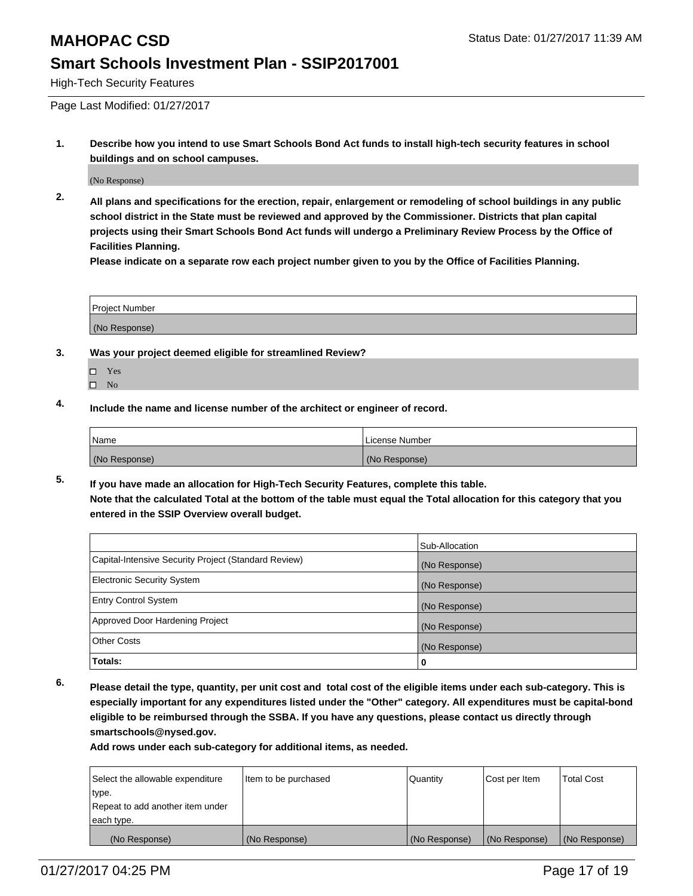High-Tech Security Features

Page Last Modified: 01/27/2017

**1. Describe how you intend to use Smart Schools Bond Act funds to install high-tech security features in school buildings and on school campuses.**

(No Response)

**2. All plans and specifications for the erection, repair, enlargement or remodeling of school buildings in any public school district in the State must be reviewed and approved by the Commissioner. Districts that plan capital projects using their Smart Schools Bond Act funds will undergo a Preliminary Review Process by the Office of Facilities Planning.** 

**Please indicate on a separate row each project number given to you by the Office of Facilities Planning.**

| <b>Project Number</b> |  |
|-----------------------|--|
| (No Response)         |  |

- **3. Was your project deemed eligible for streamlined Review?**
	- Yes
	- $\square$  No
- **4. Include the name and license number of the architect or engineer of record.**

| <b>Name</b>   | License Number |
|---------------|----------------|
| (No Response) | (No Response)  |

**5. If you have made an allocation for High-Tech Security Features, complete this table. Note that the calculated Total at the bottom of the table must equal the Total allocation for this category that you entered in the SSIP Overview overall budget.**

|                                                      | Sub-Allocation |
|------------------------------------------------------|----------------|
| Capital-Intensive Security Project (Standard Review) | (No Response)  |
| <b>Electronic Security System</b>                    | (No Response)  |
| <b>Entry Control System</b>                          | (No Response)  |
| Approved Door Hardening Project                      | (No Response)  |
| <b>Other Costs</b>                                   | (No Response)  |
| Totals:                                              | 0              |

**6. Please detail the type, quantity, per unit cost and total cost of the eligible items under each sub-category. This is especially important for any expenditures listed under the "Other" category. All expenditures must be capital-bond eligible to be reimbursed through the SSBA. If you have any questions, please contact us directly through smartschools@nysed.gov.**

| Select the allowable expenditure | Item to be purchased | <b>Quantity</b> | Cost per Item | <b>Total Cost</b> |
|----------------------------------|----------------------|-----------------|---------------|-------------------|
| type.                            |                      |                 |               |                   |
| Repeat to add another item under |                      |                 |               |                   |
| each type.                       |                      |                 |               |                   |
| (No Response)                    | (No Response)        | (No Response)   | (No Response) | (No Response)     |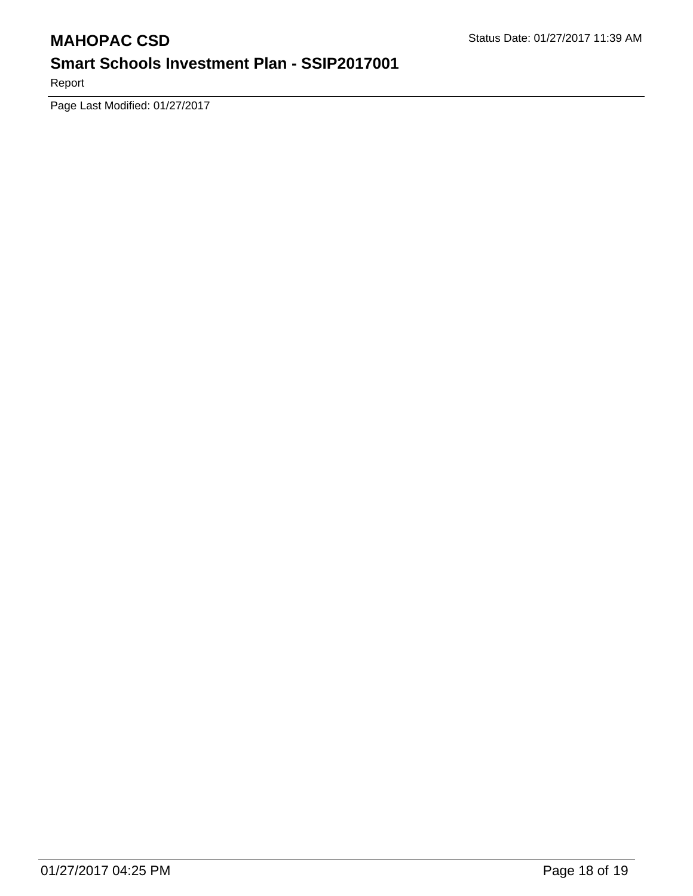Report

Page Last Modified: 01/27/2017